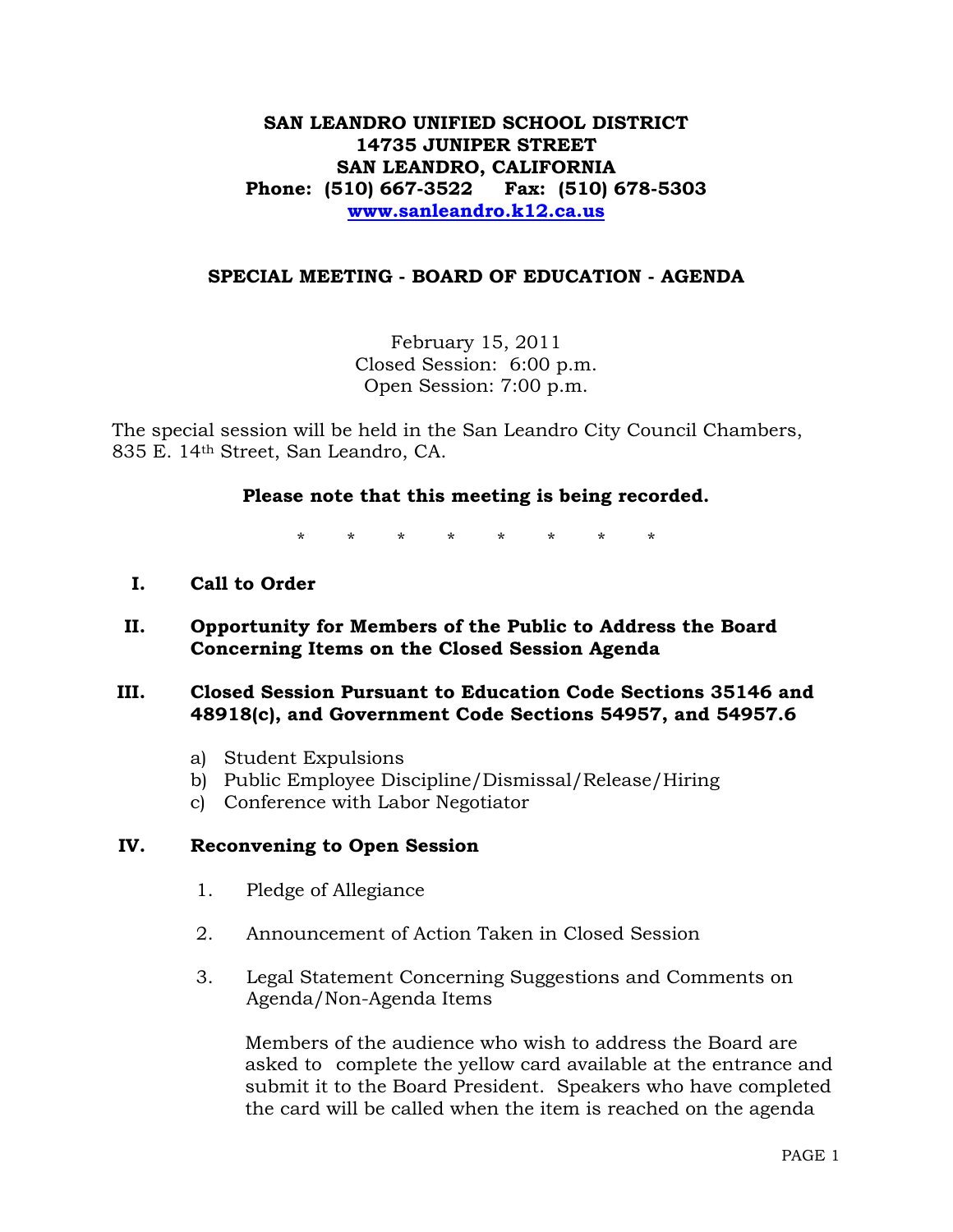## **SAN LEANDRO UNIFIED SCHOOL DISTRICT 14735 JUNIPER STREET SAN LEANDRO, CALIFORNIA Phone: (510) 667-3522 Fax: (510) 678-5303 [www.sanleandro.k12.ca.us](http://www.sanleandro.k12.ca.us/)**

#### **SPECIAL MEETING - BOARD OF EDUCATION - AGENDA**

February 15, 2011 Closed Session: 6:00 p.m. Open Session: 7:00 p.m.

The special session will be held in the San Leandro City Council Chambers, 835 E. 14th Street, San Leandro, CA.

#### **Please note that this meeting is being recorded.**

\* \* \* \* \* \* \* \*

- **I. Call to Order**
- **II. Opportunity for Members of the Public to Address the Board Concerning Items on the Closed Session Agenda**

### **III. Closed Session Pursuant to Education Code Sections 35146 and 48918(c), and Government Code Sections 54957, and 54957.6**

- a) Student Expulsions
- b) Public Employee Discipline/Dismissal/Release/Hiring
- c) Conference with Labor Negotiator

#### **IV. Reconvening to Open Session**

- 1. Pledge of Allegiance
- 2. Announcement of Action Taken in Closed Session
- 3. Legal Statement Concerning Suggestions and Comments on Agenda/Non-Agenda Items

 Members of the audience who wish to address the Board are asked to complete the yellow card available at the entrance and submit it to the Board President. Speakers who have completed the card will be called when the item is reached on the agenda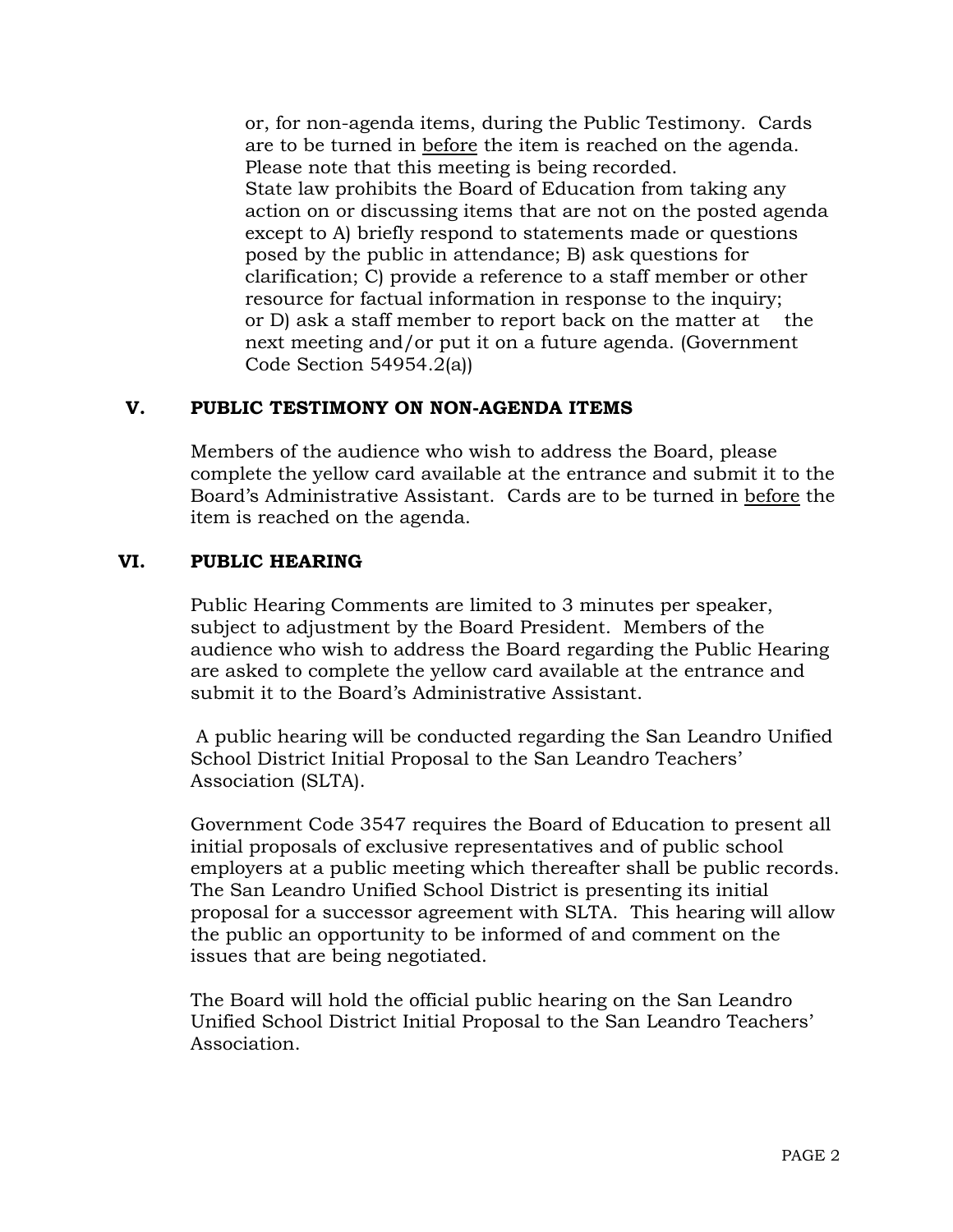or, for non-agenda items, during the Public Testimony. Cards are to be turned in before the item is reached on the agenda. Please note that this meeting is being recorded. State law prohibits the Board of Education from taking any action on or discussing items that are not on the posted agenda except to A) briefly respond to statements made or questions posed by the public in attendance; B) ask questions for clarification; C) provide a reference to a staff member or other resource for factual information in response to the inquiry; or D) ask a staff member to report back on the matter at the next meeting and/or put it on a future agenda. (Government Code Section 54954.2(a))

## **V. PUBLIC TESTIMONY ON NON-AGENDA ITEMS**

Members of the audience who wish to address the Board, please complete the yellow card available at the entrance and submit it to the Board's Administrative Assistant. Cards are to be turned in before the item is reached on the agenda.

## **VI. PUBLIC HEARING**

Public Hearing Comments are limited to 3 minutes per speaker, subject to adjustment by the Board President. Members of the audience who wish to address the Board regarding the Public Hearing are asked to complete the yellow card available at the entrance and submit it to the Board's Administrative Assistant.

 A public hearing will be conducted regarding the San Leandro Unified School District Initial Proposal to the San Leandro Teachers' Association (SLTA).

Government Code 3547 requires the Board of Education to present all initial proposals of exclusive representatives and of public school employers at a public meeting which thereafter shall be public records. The San Leandro Unified School District is presenting its initial proposal for a successor agreement with SLTA. This hearing will allow the public an opportunity to be informed of and comment on the issues that are being negotiated.

The Board will hold the official public hearing on the San Leandro Unified School District Initial Proposal to the San Leandro Teachers' Association.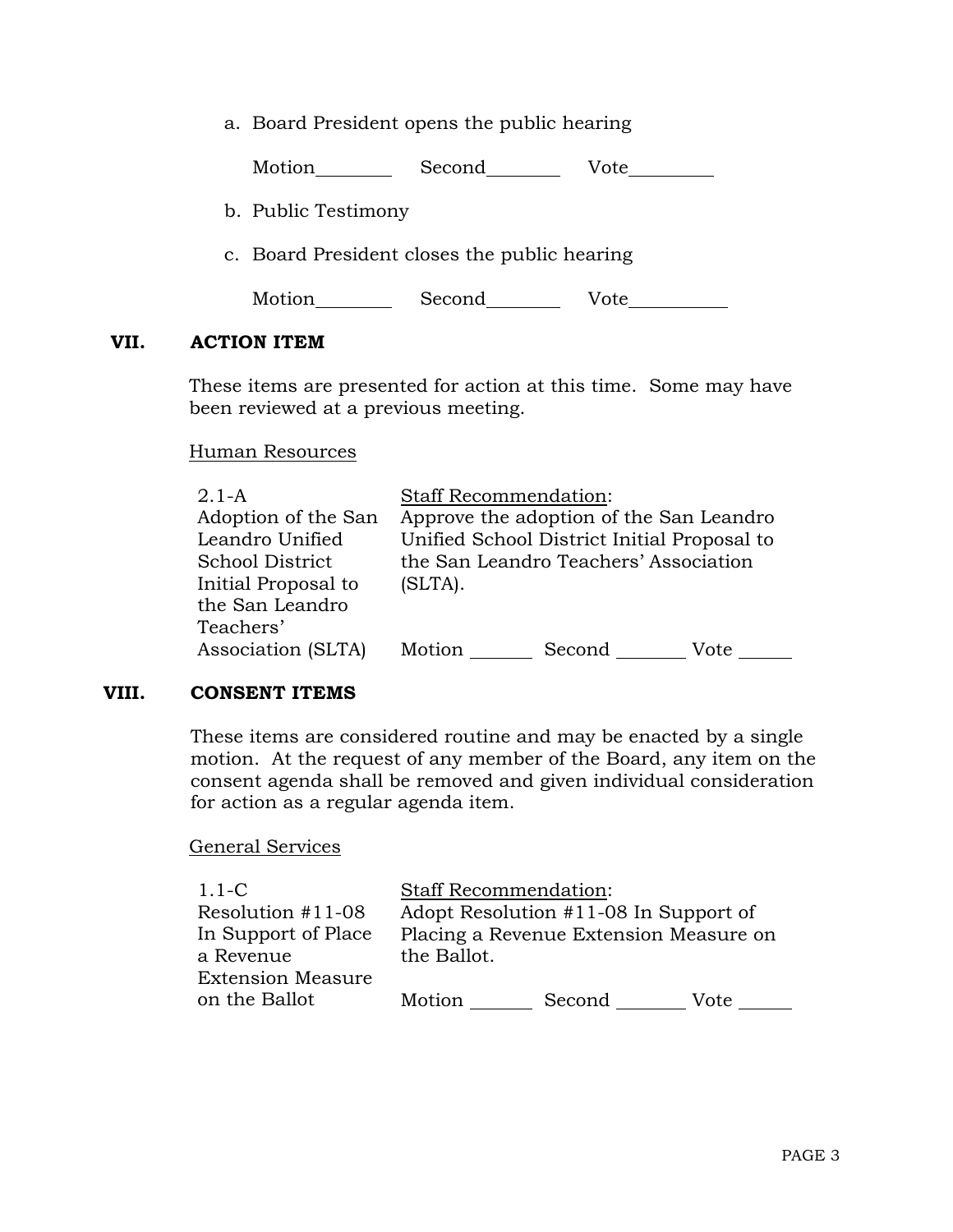a. Board President opens the public hearing

Motion Second Vote

- b. Public Testimony
- c. Board President closes the public hearing

Motion Second Vote

#### **VII. ACTION ITEM**

These items are presented for action at this time. Some may have been reviewed at a previous meeting.

#### Human Resources

| $2.1-A$             | <b>Staff Recommendation:</b>                |                                       |      |
|---------------------|---------------------------------------------|---------------------------------------|------|
| Adoption of the San | Approve the adoption of the San Leandro     |                                       |      |
| Leandro Unified     | Unified School District Initial Proposal to |                                       |      |
| School District     |                                             | the San Leandro Teachers' Association |      |
| Initial Proposal to | (SLTA).                                     |                                       |      |
| the San Leandro     |                                             |                                       |      |
| Teachers'           |                                             |                                       |      |
| Association (SLTA)  | Motion                                      | Second                                | Vote |

#### **VIII. CONSENT ITEMS**

These items are considered routine and may be enacted by a single motion. At the request of any member of the Board, any item on the consent agenda shall be removed and given individual consideration for action as a regular agenda item.

#### General Services

| $1.1-C$                  | <b>Staff Recommendation:</b>          |                                        |      |
|--------------------------|---------------------------------------|----------------------------------------|------|
| Resolution #11-08        | Adopt Resolution #11-08 In Support of |                                        |      |
| In Support of Place      |                                       | Placing a Revenue Extension Measure on |      |
| a Revenue                | the Ballot.                           |                                        |      |
| <b>Extension Measure</b> |                                       |                                        |      |
| on the Ballot            | Motion                                | Second                                 | Vote |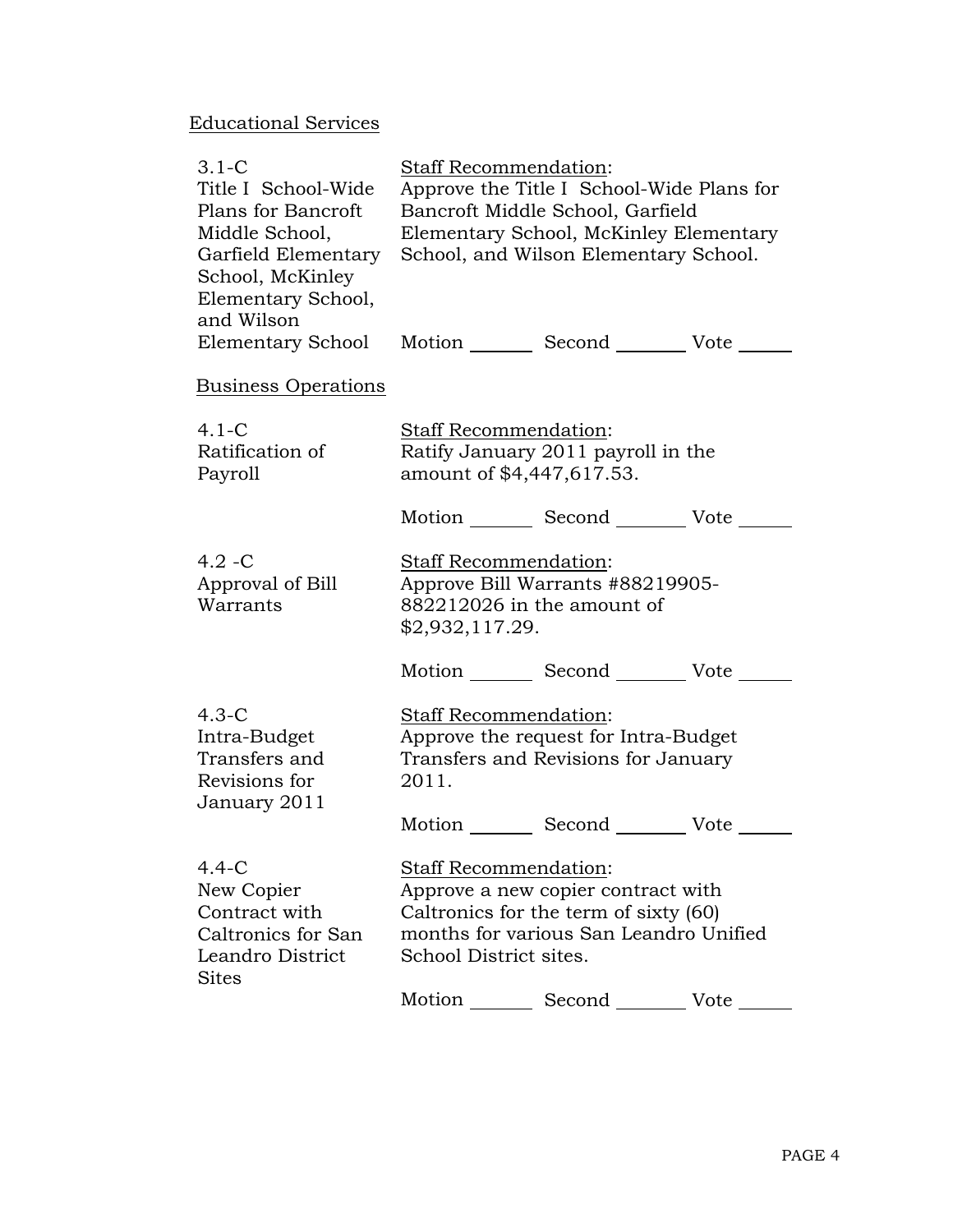# Educational Services

| $3.1 - C$                                            | Staff Recommendation:                     |                                            |      |
|------------------------------------------------------|-------------------------------------------|--------------------------------------------|------|
| Title I School-Wide                                  | Approve the Title I School-Wide Plans for |                                            |      |
| Plans for Bancroft                                   | Bancroft Middle School, Garfield          |                                            |      |
| Middle School,                                       | Elementary School, McKinley Elementary    |                                            |      |
| Garfield Elementary                                  |                                           | School, and Wilson Elementary School.      |      |
| School, McKinley                                     |                                           |                                            |      |
| Elementary School,                                   |                                           |                                            |      |
| and Wilson                                           |                                           |                                            |      |
| Elementary School Motion Second Vote                 |                                           |                                            |      |
| <b>Business Operations</b>                           |                                           |                                            |      |
| $4.1 - C$                                            | Staff Recommendation:                     |                                            |      |
| Ratification of                                      | Ratify January 2011 payroll in the        |                                            |      |
| Payroll                                              | amount of \$4,447,617.53.                 |                                            |      |
|                                                      |                                           | Motion _________ Second _________ Vote ___ |      |
| $4.2 - C$                                            | <b>Staff Recommendation:</b>              |                                            |      |
| Approval of Bill<br>Approve Bill Warrants #88219905- |                                           |                                            |      |
| Warrants                                             | 882212026 in the amount of                |                                            |      |
|                                                      | \$2,932,117.29.                           |                                            |      |
|                                                      |                                           | Motion _________ Second __________ Vote _  |      |
| $4.3-C$                                              | Staff Recommendation:                     |                                            |      |
| Intra-Budget                                         | Approve the request for Intra-Budget      |                                            |      |
| Transfers and                                        | Transfers and Revisions for January       |                                            |      |
| Revisions for                                        | 2011.                                     |                                            |      |
| January 2011                                         |                                           |                                            |      |
|                                                      |                                           | Motion Second Vote                         |      |
| $4.4 - C$                                            | Staff Recommendation:                     |                                            |      |
| New Copier                                           | Approve a new copier contract with        |                                            |      |
| Contract with                                        | Caltronics for the term of sixty (60)     |                                            |      |
| Caltronics for San                                   | months for various San Leandro Unified    |                                            |      |
| Leandro District<br><b>Sites</b>                     | School District sites.                    |                                            |      |
|                                                      | Motion                                    | Second                                     | Vote |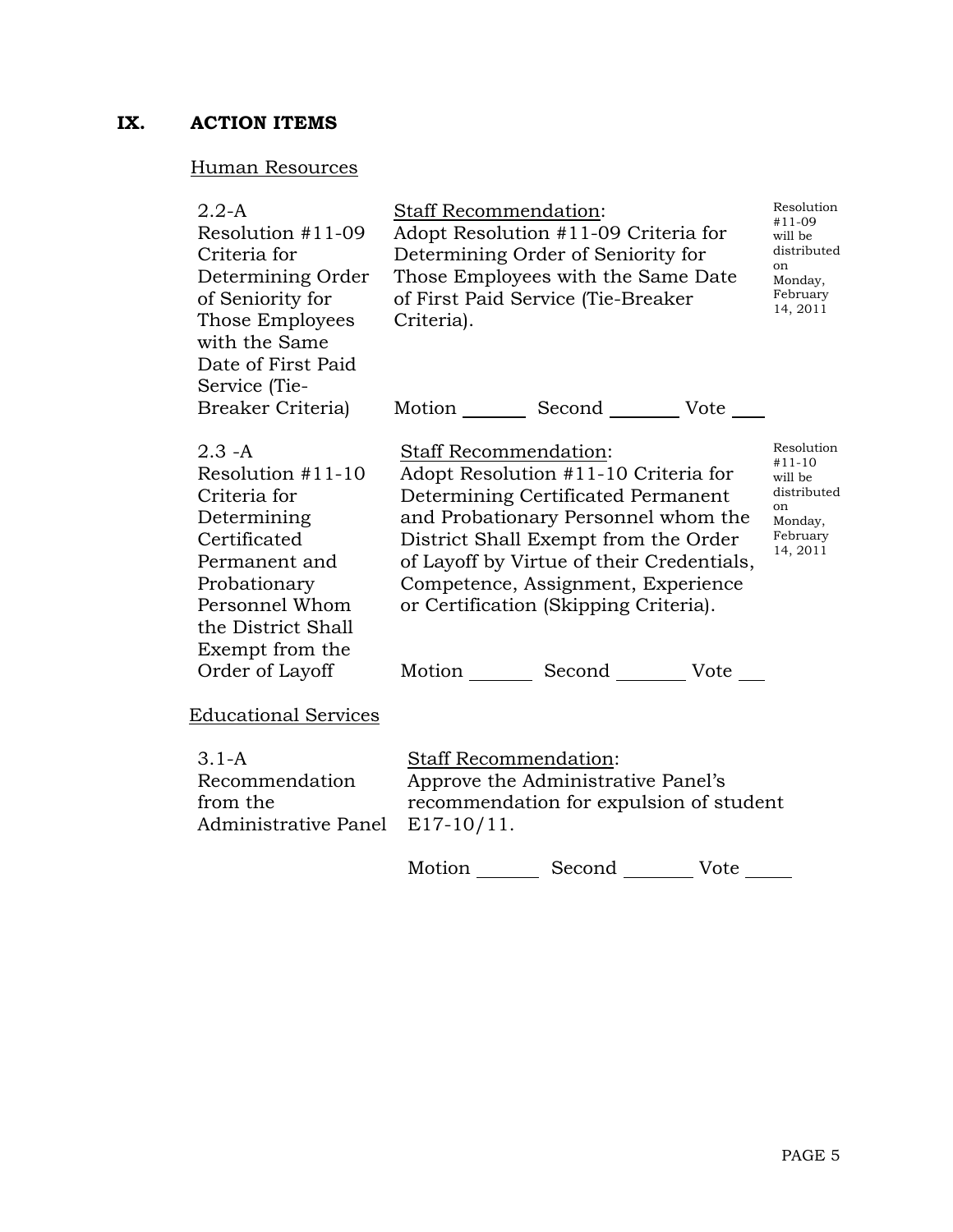# **IX. ACTION ITEMS**

## Human Resources

| $2.2-A$<br>Resolution #11-09<br>Criteria for<br>Determining Order<br>of Seniority for<br>Those Employees<br>with the Same<br>Date of First Paid<br>Service (Tie-                               | Staff Recommendation:<br>Adopt Resolution #11-09 Criteria for<br>Determining Order of Seniority for<br>Those Employees with the Same Date<br>of First Paid Service (Tie-Breaker<br>Criteria).                                                                                                                                                                        | Resolution<br>#11-09<br>will be<br>distributed<br>on<br>Monday,<br>February<br>14, 2011   |
|------------------------------------------------------------------------------------------------------------------------------------------------------------------------------------------------|----------------------------------------------------------------------------------------------------------------------------------------------------------------------------------------------------------------------------------------------------------------------------------------------------------------------------------------------------------------------|-------------------------------------------------------------------------------------------|
| Breaker Criteria)                                                                                                                                                                              | Motion _________ Second __________ Vote _____                                                                                                                                                                                                                                                                                                                        |                                                                                           |
| $2.3 - A$<br>Resolution $#11-10$<br>Criteria for<br>Determining<br>Certificated<br>Permanent and<br>Probationary<br>Personnel Whom<br>the District Shall<br>Exempt from the<br>Order of Layoff | <b>Staff Recommendation:</b><br>Adopt Resolution #11-10 Criteria for<br>Determining Certificated Permanent<br>and Probationary Personnel whom the<br>District Shall Exempt from the Order<br>of Layoff by Virtue of their Credentials,<br>Competence, Assignment, Experience<br>or Certification (Skipping Criteria).<br>Motion _________ Second _________ Vote ____ | Resolution<br>$#11-10$<br>will be<br>distributed<br>on<br>Monday,<br>February<br>14, 2011 |
| <b>Educational Services</b>                                                                                                                                                                    |                                                                                                                                                                                                                                                                                                                                                                      |                                                                                           |
| $3.1 - A$<br>Recommendation<br>from the<br>Administrative Panel                                                                                                                                | <b>Staff Recommendation:</b><br>Approve the Administrative Panel's<br>recommendation for expulsion of student<br>$E17-10/11$ .                                                                                                                                                                                                                                       |                                                                                           |
|                                                                                                                                                                                                | Motion _________ Second _________ Vote ______                                                                                                                                                                                                                                                                                                                        |                                                                                           |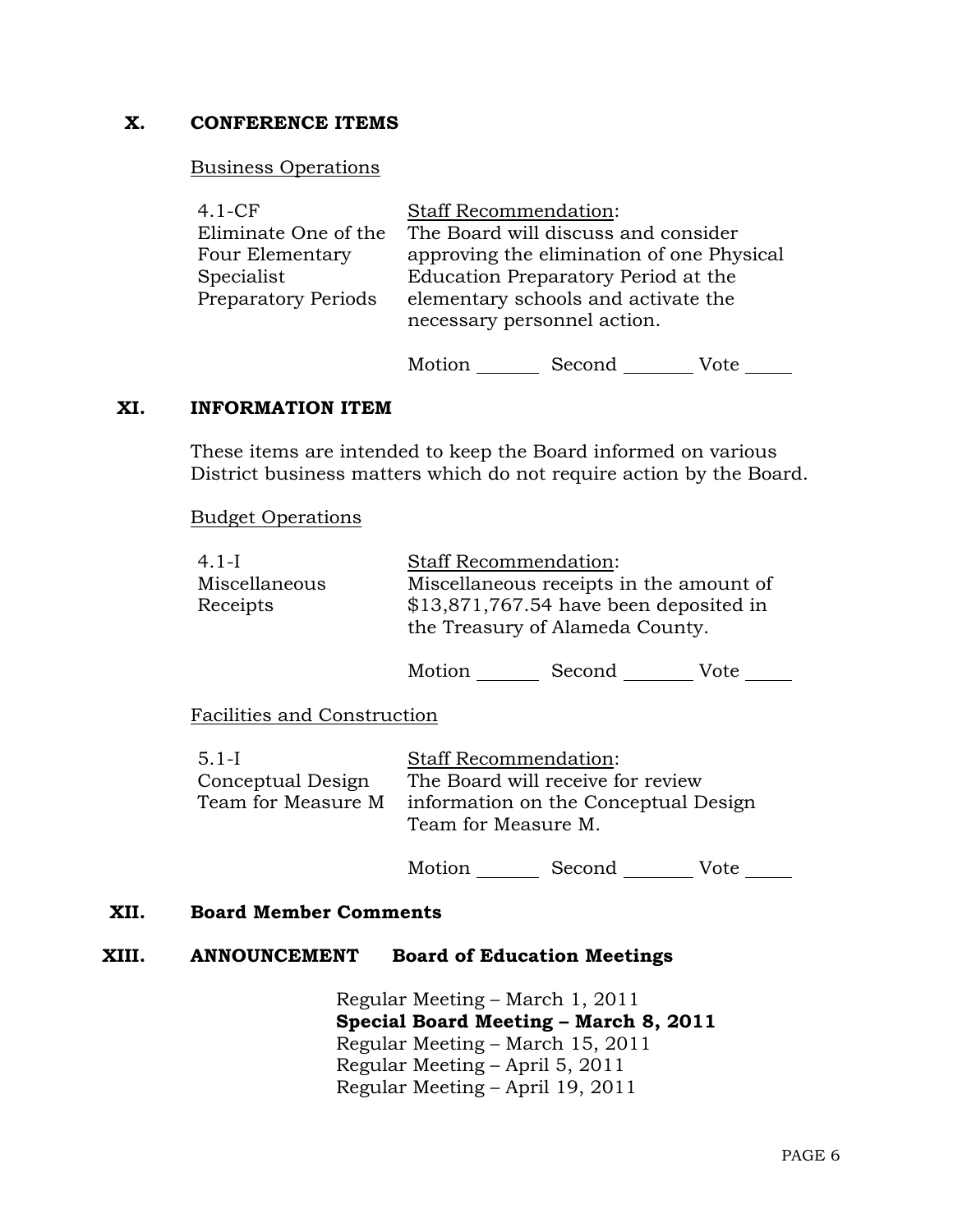### **X. CONFERENCE ITEMS**

#### Business Operations

| $4.1-CF$                   | <b>Staff Recommendation:</b>              |
|----------------------------|-------------------------------------------|
| Eliminate One of the       | The Board will discuss and consider       |
| Four Elementary            | approving the elimination of one Physical |
| Specialist                 | Education Preparatory Period at the       |
| <b>Preparatory Periods</b> | elementary schools and activate the       |
|                            | necessary personnel action.               |
|                            |                                           |

Motion Second Vote \_\_\_\_\_\_

#### **XI. INFORMATION ITEM**

These items are intended to keep the Board informed on various District business matters which do not require action by the Board.

Budget Operations

| $4.1-I$                   |        | <b>Staff Recommendation:</b>                                                                                         |      |
|---------------------------|--------|----------------------------------------------------------------------------------------------------------------------|------|
| Miscellaneous<br>Receipts |        | Miscellaneous receipts in the amount of<br>\$13,871,767.54 have been deposited in<br>the Treasury of Alameda County. |      |
|                           | Motion | Second                                                                                                               | Vote |

Facilities and Construction

| $5.1-I$            | <b>Staff Recommendation:</b>                                |
|--------------------|-------------------------------------------------------------|
| Conceptual Design  | The Board will receive for review                           |
| Team for Measure M | information on the Conceptual Design<br>Team for Measure M. |

Motion Second Vote \_\_\_\_\_\_

#### **XII. Board Member Comments**

#### **XIII. ANNOUNCEMENT Board of Education Meetings**

 Regular Meeting – March 1, 2011  **Special Board Meeting – March 8, 2011** Regular Meeting – March 15, 2011 Regular Meeting – April 5, 2011 Regular Meeting – April 19, 2011